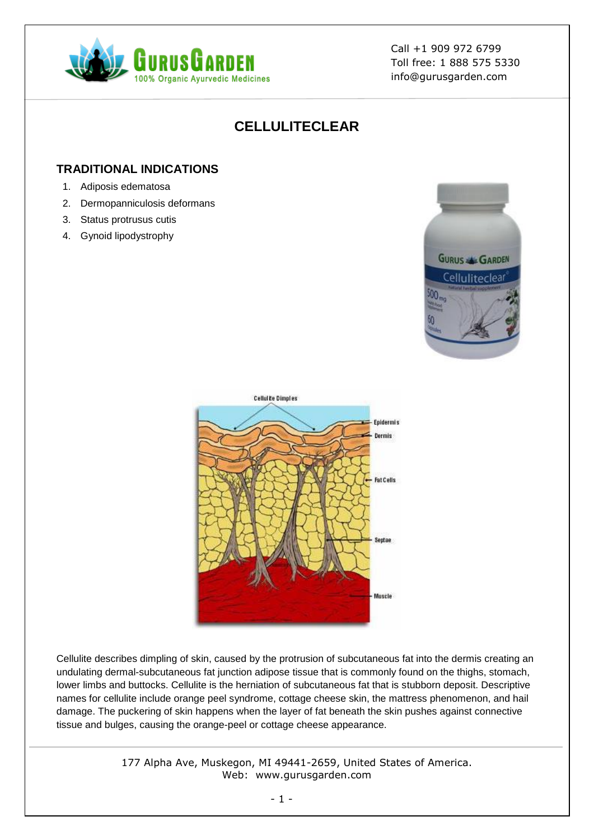

# **CELLULITECLEAR**

# **TRADITIONAL INDICATIONS**

- 1. Adiposis edematosa
- 2. Dermopanniculosis deformans
- 3. Status protrusus cutis
- 4. Gynoid lipodystrophy





Cellulite describes dimpling of skin, caused by the protrusion of subcutaneous fat into the dermis creating an undulating dermal-subcutaneous fat junction adipose tissue that is commonly found on the thighs, stomach, lower limbs and buttocks. Cellulite is the herniation of subcutaneous fat that is stubborn deposit. Descriptive names for cellulite include orange peel syndrome, cottage cheese skin, the mattress phenomenon, and hail damage. The puckering of skin happens when the layer of fat beneath the skin pushes against connective tissue and bulges, causing the orange-peel or cottage cheese appearance.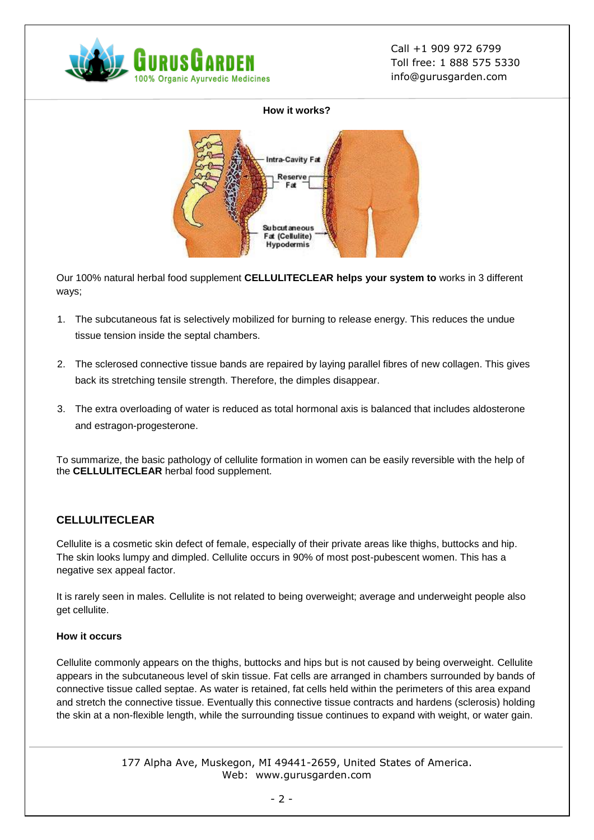

#### **How it works?**



Our 100% natural herbal food supplement **CELLULITECLEAR helps your system to** works in 3 different ways;

- 1. The subcutaneous fat is selectively mobilized for burning to release energy. This reduces the undue tissue tension inside the septal chambers.
- 2. The sclerosed connective tissue bands are repaired by laying parallel fibres of new collagen. This gives back its stretching tensile strength. Therefore, the dimples disappear.
- 3. The extra overloading of water is reduced as total hormonal axis is balanced that includes aldosterone and estragon-progesterone.

To summarize, the basic pathology of cellulite formation in women can be easily reversible with the help of the **CELLULITECLEAR** herbal food supplement.

# **CELLULITECLEAR**

Cellulite is a cosmetic skin defect of female, especially of their private areas like thighs, buttocks and hip. The skin looks lumpy and dimpled. Cellulite occurs in 90% of most post-pubescent women. This has a negative sex appeal factor.

It is rarely seen in males. Cellulite is not related to being overweight; average and underweight people also get cellulite.

### **How it occurs**

Cellulite commonly appears on the thighs, buttocks and hips but is not caused by being overweight. Cellulite appears in the subcutaneous level of skin tissue. Fat cells are arranged in chambers surrounded by bands of connective tissue called septae. As water is retained, fat cells held within the perimeters of this area expand and stretch the connective tissue. Eventually this connective tissue contracts and hardens (sclerosis) holding the skin at a non-flexible length, while the surrounding tissue continues to expand with weight, or water gain.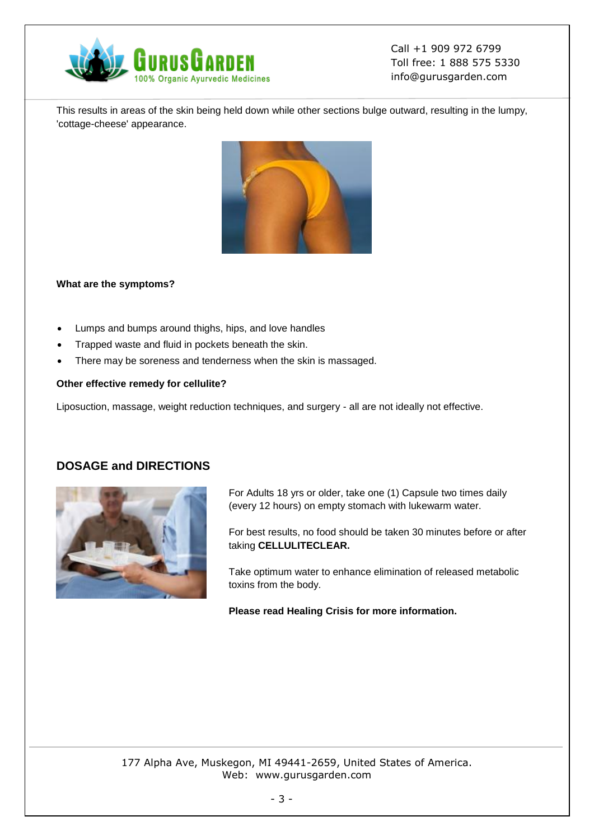

This results in areas of the skin being held down while other sections bulge outward, resulting in the lumpy, 'cottage-cheese' appearance.



#### **What are the symptoms?**

- Lumps and bumps around thighs, hips, and love handles
- Trapped waste and fluid in pockets beneath the skin.
- There may be soreness and tenderness when the skin is massaged.

#### **Other effective remedy for cellulite?**

Liposuction, massage, weight reduction techniques, and surgery - all are not ideally not effective.

# **DOSAGE and DIRECTIONS**



For Adults 18 yrs or older, take one (1) Capsule two times daily (every 12 hours) on empty stomach with lukewarm water.

For best results, no food should be taken 30 minutes before or after taking **CELLULITECLEAR.**

Take optimum water to enhance elimination of released metabolic toxins from the body.

**Please read Healing Crisis for more information.**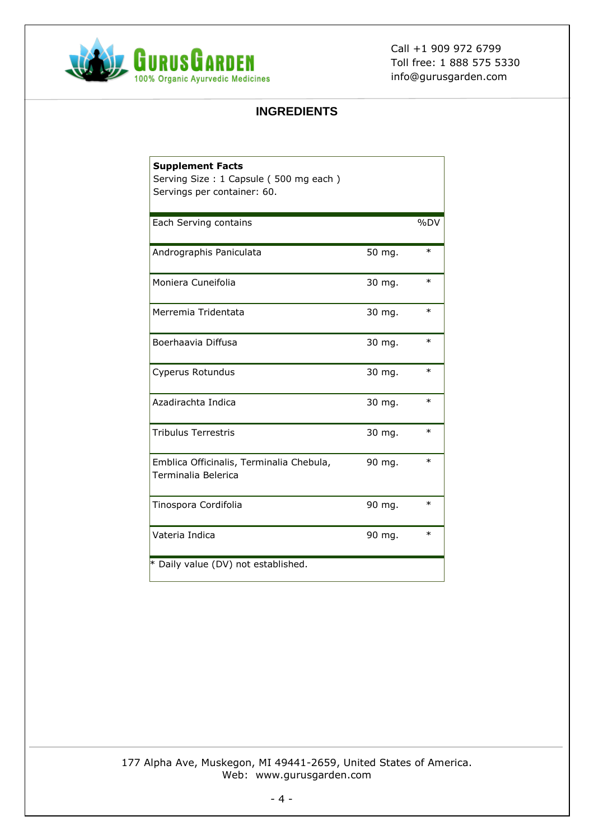

# **INGREDIENTS**

| <b>Supplement Facts</b><br>Serving Size: 1 Capsule (500 mg each)<br>Servings per container: 60. |        |        |
|-------------------------------------------------------------------------------------------------|--------|--------|
| Each Serving contains                                                                           |        | %DV    |
| Andrographis Paniculata                                                                         | 50 mg. | $\ast$ |
| Moniera Cuneifolia                                                                              | 30 mg. | $\ast$ |
| Merremia Tridentata                                                                             | 30 mg. | $\ast$ |
| Boerhaavia Diffusa                                                                              | 30 mg. | $\ast$ |
| Cyperus Rotundus                                                                                | 30 mg. | $\ast$ |
| Azadirachta Indica                                                                              | 30 mg. | $\ast$ |
| <b>Tribulus Terrestris</b>                                                                      | 30 mg. | $\ast$ |
| Emblica Officinalis, Terminalia Chebula,<br>Terminalia Belerica                                 | 90 mg. | $\ast$ |
| Tinospora Cordifolia                                                                            | 90 mg. | $\ast$ |
| Vateria Indica                                                                                  | 90 mg. | $\ast$ |
| * Daily value (DV) not established.                                                             |        |        |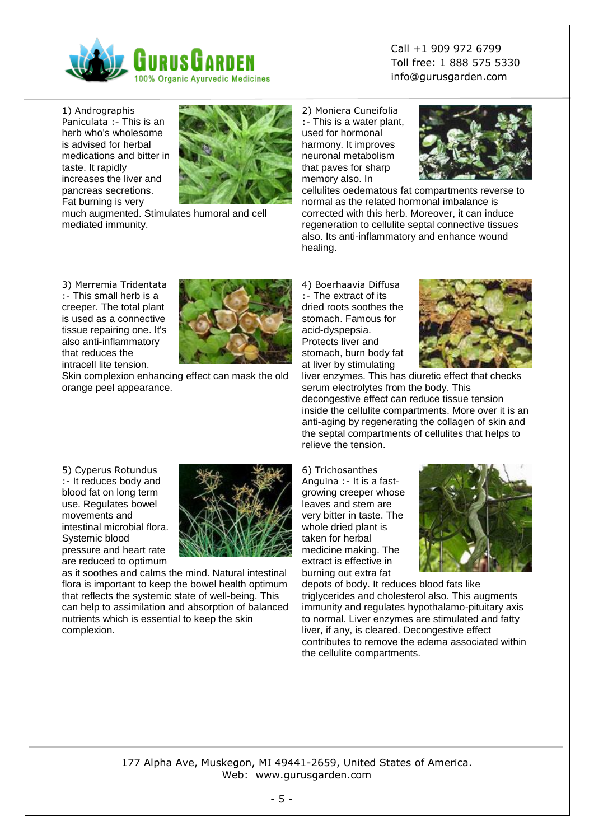

1) Andrographis Paniculata :- This is an herb who's wholesome is advised for herbal medications and bitter in taste. It rapidly increases the liver and pancreas secretions. Fat burning is very



much augmented. Stimulates humoral and cell mediated immunity.

Call +1 909 972 6799 Toll free: 1 888 575 5330 info@gurusgarden.com

2) Moniera Cuneifolia :- This is a water plant, used for hormonal harmony. It improves neuronal metabolism that paves for sharp memory also. In



cellulites oedematous fat compartments reverse to normal as the related hormonal imbalance is corrected with this herb. Moreover, it can induce regeneration to cellulite septal connective tissues also. Its anti-inflammatory and enhance wound healing.

3) Merremia Tridentata :- This small herb is a creeper. The total plant is used as a connective tissue repairing one. It's also anti-inflammatory that reduces the intracell lite tension.



Skin complexion enhancing effect can mask the old orange peel appearance.

4) Boerhaavia Diffusa :- The extract of its dried roots soothes the stomach. Famous for acid-dyspepsia. Protects liver and stomach, burn body fat at liver by stimulating



liver enzymes. This has diuretic effect that checks serum electrolytes from the body. This decongestive effect can reduce tissue tension inside the cellulite compartments. More over it is an anti-aging by regenerating the collagen of skin and the septal compartments of cellulites that helps to relieve the tension.

5) Cyperus Rotundus :- It reduces body and blood fat on long term use. Regulates bowel movements and intestinal microbial flora. Systemic blood pressure and heart rate are reduced to optimum



as it soothes and calms the mind. Natural intestinal flora is important to keep the bowel health optimum that reflects the systemic state of well-being. This can help to assimilation and absorption of balanced nutrients which is essential to keep the skin complexion.

6) Trichosanthes Anguina :- It is a fastgrowing creeper whose leaves and stem are very bitter in taste. The whole dried plant is taken for herbal medicine making. The extract is effective in burning out extra fat



depots of body. It reduces blood fats like triglycerides and cholesterol also. This augments immunity and regulates hypothalamo-pituitary axis to normal. Liver enzymes are stimulated and fatty liver, if any, is cleared. Decongestive effect contributes to remove the edema associated within the cellulite compartments.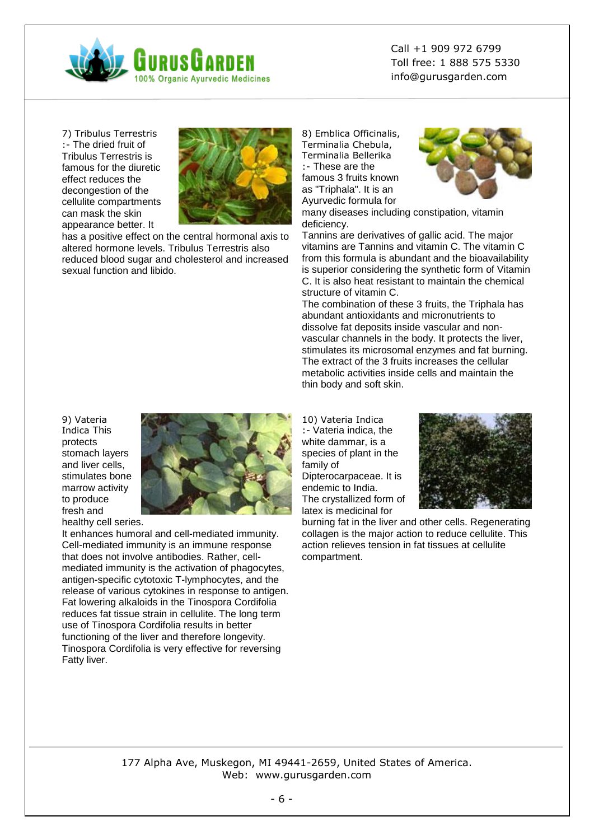

7) Tribulus Terrestris :- The dried fruit of Tribulus Terrestris is famous for the diuretic effect reduces the decongestion of the cellulite compartments can mask the skin appearance better. It



has a positive effect on the central hormonal axis to altered hormone levels. Tribulus Terrestris also reduced blood sugar and cholesterol and increased sexual function and libido.

8) Emblica Officinalis, Terminalia Chebula, Terminalia Bellerika :- These are the famous 3 fruits known as "Triphala". It is an Ayurvedic formula for



many diseases including constipation, vitamin deficiency.

Tannins are derivatives of gallic acid. The major vitamins are Tannins and vitamin C. The vitamin C from this formula is abundant and the bioavailability is superior considering the synthetic form of Vitamin C. It is also heat resistant to maintain the chemical structure of vitamin C.

The combination of these 3 fruits, the Triphala has abundant antioxidants and micronutrients to dissolve fat deposits inside vascular and nonvascular channels in the body. It protects the liver, stimulates its microsomal enzymes and fat burning. The extract of the 3 fruits increases the cellular metabolic activities inside cells and maintain the thin body and soft skin.

9) Vateria Indica This protects stomach layers and liver cells, stimulates bone marrow activity to produce fresh and healthy cell series.



It enhances humoral and cell-mediated immunity. Cell-mediated immunity is an immune response that does not involve antibodies. Rather, cellmediated immunity is the activation of phagocytes, antigen-specific cytotoxic T-lymphocytes, and the release of various cytokines in response to antigen. Fat lowering alkaloids in the Tinospora Cordifolia reduces fat tissue strain in cellulite. The long term use of Tinospora Cordifolia results in better functioning of the liver and therefore longevity. Tinospora Cordifolia is very effective for reversing Fatty liver.

10) Vateria Indica :- Vateria indica, the white dammar, is a species of plant in the family of Dipterocarpaceae. It is endemic to India. The crystallized form of latex is medicinal for



burning fat in the liver and other cells. Regenerating collagen is the major action to reduce cellulite. This action relieves tension in fat tissues at cellulite compartment.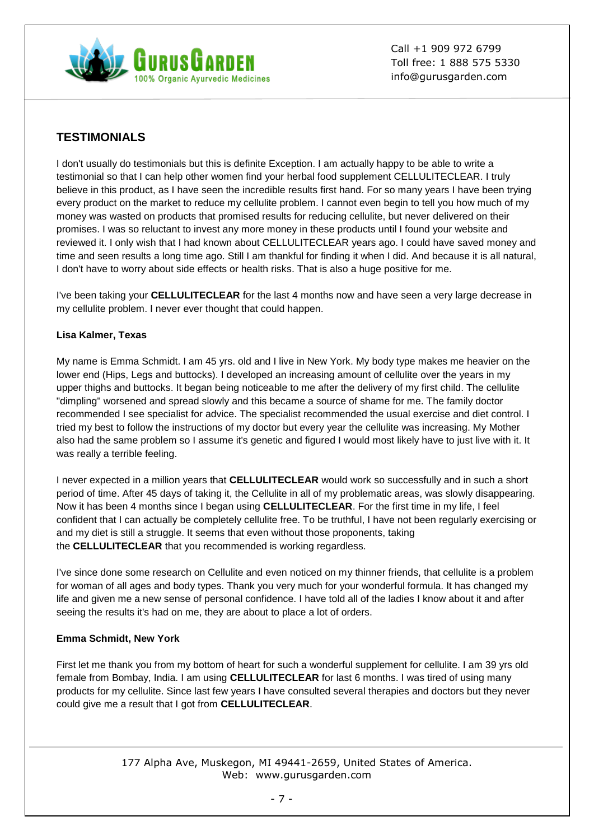

# **TESTIMONIALS**

I don't usually do testimonials but this is definite Exception. I am actually happy to be able to write a testimonial so that I can help other women find your herbal food supplement CELLULITECLEAR. I truly believe in this product, as I have seen the incredible results first hand. For so many years I have been trying every product on the market to reduce my cellulite problem. I cannot even begin to tell you how much of my money was wasted on products that promised results for reducing cellulite, but never delivered on their promises. I was so reluctant to invest any more money in these products until I found your website and reviewed it. I only wish that I had known about CELLULITECLEAR years ago. I could have saved money and time and seen results a long time ago. Still I am thankful for finding it when I did. And because it is all natural, I don't have to worry about side effects or health risks. That is also a huge positive for me.

I've been taking your **CELLULITECLEAR** for the last 4 months now and have seen a very large decrease in my cellulite problem. I never ever thought that could happen.

### **Lisa Kalmer, Texas**

My name is Emma Schmidt. I am 45 yrs. old and I live in New York. My body type makes me heavier on the lower end (Hips, Legs and buttocks). I developed an increasing amount of cellulite over the years in my upper thighs and buttocks. It began being noticeable to me after the delivery of my first child. The cellulite "dimpling" worsened and spread slowly and this became a source of shame for me. The family doctor recommended I see specialist for advice. The specialist recommended the usual exercise and diet control. I tried my best to follow the instructions of my doctor but every year the cellulite was increasing. My Mother also had the same problem so I assume it's genetic and figured I would most likely have to just live with it. It was really a terrible feeling.

I never expected in a million years that **CELLULITECLEAR** would work so successfully and in such a short period of time. After 45 days of taking it, the Cellulite in all of my problematic areas, was slowly disappearing. Now it has been 4 months since I began using **CELLULITECLEAR**. For the first time in my life, I feel confident that I can actually be completely cellulite free. To be truthful, I have not been regularly exercising or and my diet is still a struggle. It seems that even without those proponents, taking the **CELLULITECLEAR** that you recommended is working regardless.

I've since done some research on Cellulite and even noticed on my thinner friends, that cellulite is a problem for woman of all ages and body types. Thank you very much for your wonderful formula. It has changed my life and given me a new sense of personal confidence. I have told all of the ladies I know about it and after seeing the results it's had on me, they are about to place a lot of orders.

# **Emma Schmidt, New York**

First let me thank you from my bottom of heart for such a wonderful supplement for cellulite. I am 39 yrs old female from Bombay, India. I am using **CELLULITECLEAR** for last 6 months. I was tired of using many products for my cellulite. Since last few years I have consulted several therapies and doctors but they never could give me a result that I got from **CELLULITECLEAR**.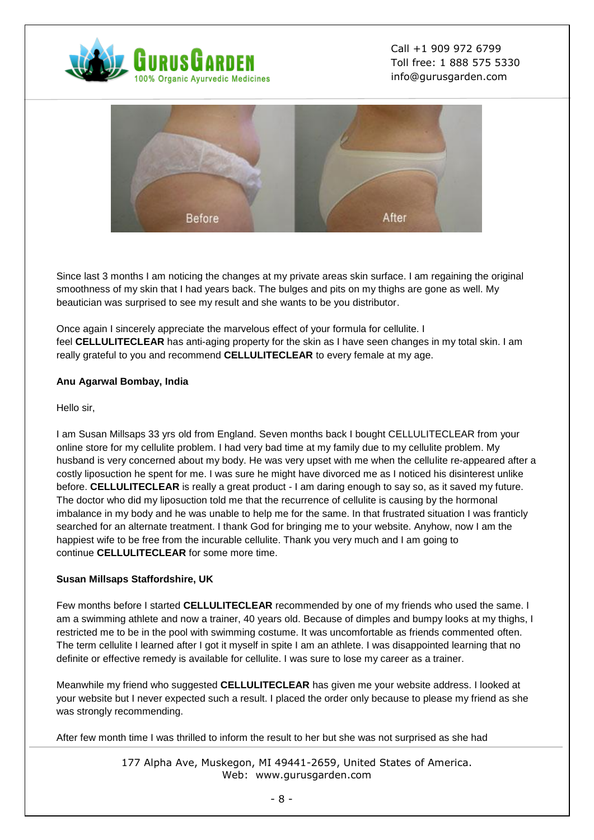



Since last 3 months I am noticing the changes at my private areas skin surface. I am regaining the original smoothness of my skin that I had years back. The bulges and pits on my thighs are gone as well. My beautician was surprised to see my result and she wants to be you distributor.

Once again I sincerely appreciate the marvelous effect of your formula for cellulite. I feel **CELLULITECLEAR** has anti-aging property for the skin as I have seen changes in my total skin. I am really grateful to you and recommend **CELLULITECLEAR** to every female at my age.

### **Anu Agarwal Bombay, India**

Hello sir,

I am Susan Millsaps 33 yrs old from England. Seven months back I bought CELLULITECLEAR from your online store for my cellulite problem. I had very bad time at my family due to my cellulite problem. My husband is very concerned about my body. He was very upset with me when the cellulite re-appeared after a costly liposuction he spent for me. I was sure he might have divorced me as I noticed his disinterest unlike before. **CELLULITECLEAR** is really a great product - I am daring enough to say so, as it saved my future. The doctor who did my liposuction told me that the recurrence of cellulite is causing by the hormonal imbalance in my body and he was unable to help me for the same. In that frustrated situation I was franticly searched for an alternate treatment. I thank God for bringing me to your website. Anyhow, now I am the happiest wife to be free from the incurable cellulite. Thank you very much and I am going to continue **CELLULITECLEAR** for some more time.

### **Susan Millsaps Staffordshire, UK**

Few months before I started **CELLULITECLEAR** recommended by one of my friends who used the same. I am a swimming athlete and now a trainer, 40 years old. Because of dimples and bumpy looks at my thighs, I restricted me to be in the pool with swimming costume. It was uncomfortable as friends commented often. The term cellulite I learned after I got it myself in spite I am an athlete. I was disappointed learning that no definite or effective remedy is available for cellulite. I was sure to lose my career as a trainer.

Meanwhile my friend who suggested **CELLULITECLEAR** has given me your website address. I looked at your website but I never expected such a result. I placed the order only because to please my friend as she was strongly recommending.

After few month time I was thrilled to inform the result to her but she was not surprised as she had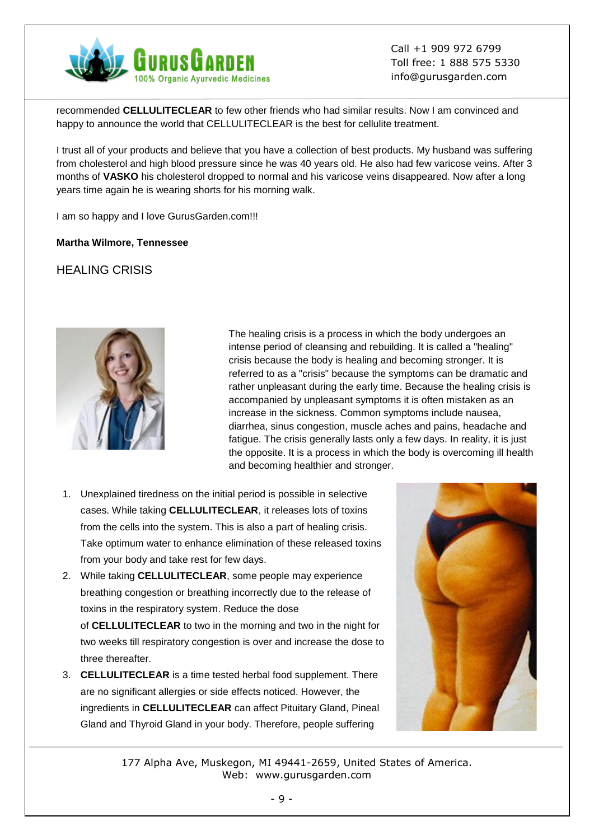

recommended **CELLULITECLEAR** to few other friends who had similar results. Now I am convinced and happy to announce the world that CELLULITECLEAR is the best for cellulite treatment.

I trust all of your products and believe that you have a collection of best products. My husband was suffering from cholesterol and high blood pressure since he was 40 years old. He also had few varicose veins. After 3 months of **VASKO** his cholesterol dropped to normal and his varicose veins disappeared. Now after a long years time again he is wearing shorts for his morning walk.

I am so happy and I love GurusGarden.com!!!

### **Martha Wilmore, Tennessee**

# HEALING CRISIS



The healing crisis is a process in which the body undergoes an intense period of cleansing and rebuilding. It is called a "healing" crisis because the body is healing and becoming stronger. It is referred to as a "crisis" because the symptoms can be dramatic and rather unpleasant during the early time. Because the healing crisis is accompanied by unpleasant symptoms it is often mistaken as an increase in the sickness. Common symptoms include nausea, diarrhea, sinus congestion, muscle aches and pains, headache and fatigue. The crisis generally lasts only a few days. In reality, it is just the opposite. It is a process in which the body is overcoming ill health and becoming healthier and stronger.

- 1. Unexplained tiredness on the initial period is possible in selective cases. While taking **CELLULITECLEAR**, it releases lots of toxins from the cells into the system. This is also a part of healing crisis. Take optimum water to enhance elimination of these released toxins from your body and take rest for few days.
- 2. While taking **CELLULITECLEAR**, some people may experience breathing congestion or breathing incorrectly due to the release of toxins in the respiratory system. Reduce the dose of **CELLULITECLEAR** to two in the morning and two in the night for two weeks till respiratory congestion is over and increase the dose to three thereafter.
- 3. **CELLULITECLEAR** is a time tested herbal food supplement. There are no significant allergies or side effects noticed. However, the ingredients in **CELLULITECLEAR** can affect Pituitary Gland, Pineal Gland and Thyroid Gland in your body. Therefore, people suffering